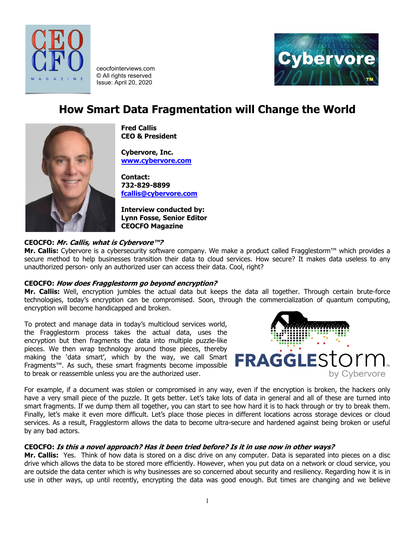

ceocfointerviews.com © All rights reserved Issue: April 20, 2020



# **How Smart Data Fragmentation will Change the World**



**Fred Callis CEO & President**

**Cybervore, Inc. [www.cybervore.com](http://www.cybervore.com/)**

**Contact: 732-829-8899 [fcallis@cybervore.com](mailto:fcallis@cybervore.com)**

**Interview conducted by: Lynn Fosse, Senior Editor CEOCFO Magazine**

# **CEOCFO: Mr. Callis, what is Cybervore™?**

**Mr. Callis:** Cybervore is a cybersecurity software company. We make a product called Fragglestorm™ which provides a secure method to help businesses transition their data to cloud services. How secure? It makes data useless to any unauthorized person- only an authorized user can access their data. Cool, right?

## **CEOCFO: How does Fragglestorm go beyond encryption?**

**Mr. Callis:** Well, encryption jumbles the actual data but keeps the data all together. Through certain brute-force technologies, today's encryption can be compromised. Soon, through the commercialization of quantum computing, encryption will become handicapped and broken.

To protect and manage data in today's multicloud services world, the Fragglestorm process takes the actual data, uses the encryption but then fragments the data into multiple puzzle-like pieces. We then wrap technology around those pieces, thereby making the 'data smart', which by the way, we call Smart Fragments™. As such, these smart fragments become impossible to break or reassemble unless you are the authorized user.



For example, if a document was stolen or compromised in any way, even if the encryption is broken, the hackers only have a very small piece of the puzzle. It gets better. Let's take lots of data in general and all of these are turned into smart fragments. If we dump them all together, you can start to see how hard it is to hack through or try to break them. Finally, let's make it even more difficult. Let's place those pieces in different locations across storage devices or cloud services. As a result, Fragglestorm allows the data to become ultra-secure and hardened against being broken or useful by any bad actors.

## **CEOCFO: Is this a novel approach? Has it been tried before? Is it in use now in other ways?**

**Mr. Callis:** Yes. Think of how data is stored on a disc drive on any computer. Data is separated into pieces on a disc drive which allows the data to be stored more efficiently. However, when you put data on a network or cloud service, you are outside the data center which is why businesses are so concerned about security and resiliency. Regarding how it is in use in other ways, up until recently, encrypting the data was good enough. But times are changing and we believe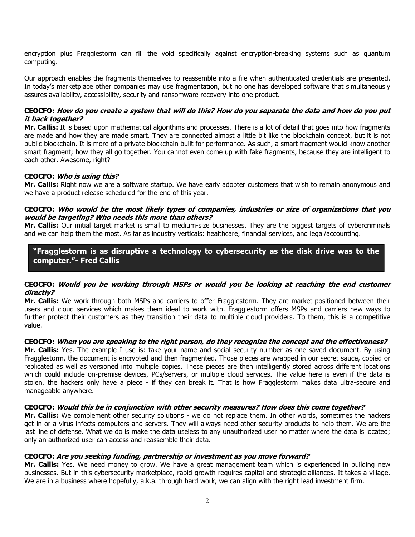encryption plus Fragglestorm can fill the void specifically against encryption-breaking systems such as quantum computing.

Our approach enables the fragments themselves to reassemble into a file when authenticated credentials are presented. In today's marketplace other companies may use fragmentation, but no one has developed software that simultaneously assures availability, accessibility, security and ransomware recovery into one product.

## **CEOCFO: How do you create a system that will do this? How do you separate the data and how do you put it back together?**

**Mr. Callis:** It is based upon mathematical algorithms and processes. There is a lot of detail that goes into how fragments are made and how they are made smart. They are connected almost a little bit like the blockchain concept, but it is not public blockchain. It is more of a private blockchain built for performance. As such, a smart fragment would know another smart fragment; how they all go together. You cannot even come up with fake fragments, because they are intelligent to each other. Awesome, right?

### **CEOCFO: Who is using this?**

**Mr. Callis:** Right now we are a software startup. We have early adopter customers that wish to remain anonymous and we have a product release scheduled for the end of this year.

### **CEOCFO: Who would be the most likely types of companies, industries or size of organizations that you would be targeting? Who needs this more than others?**

**Mr. Callis:** Our initial target market is small to medium-size businesses. They are the biggest targets of cybercriminals and we can help them the most. As far as industry verticals: healthcare, financial services, and legal/accounting.

# **"Fragglestorm is as disruptive a technology to cybersecurity as the disk drive was to the computer."- Fred Callis**

## **CEOCFO: Would you be working through MSPs or would you be looking at reaching the end customer directly?**

**Mr. Callis:** We work through both MSPs and carriers to offer Fragglestorm. They are market-positioned between their users and cloud services which makes them ideal to work with. Fragglestorm offers MSPs and carriers new ways to further protect their customers as they transition their data to multiple cloud providers. To them, this is a competitive value.

## **CEOCFO: When you are speaking to the right person, do they recognize the concept and the effectiveness?**

**Mr. Callis:** Yes. The example I use is: take your name and social security number as one saved document. By using Fragglestorm, the document is encrypted and then fragmented. Those pieces are wrapped in our secret sauce, copied or replicated as well as versioned into multiple copies. These pieces are then intelligently stored across different locations which could include on-premise devices, PCs/servers, or multiple cloud services. The value here is even if the data is stolen, the hackers only have a piece - if they can break it. That is how Fragglestorm makes data ultra-secure and manageable anywhere.

## **CEOCFO: Would this be in conjunction with other security measures? How does this come together?**

**Mr. Callis:** We complement other security solutions - we do not replace them. In other words, sometimes the hackers get in or a virus infects computers and servers. They will always need other security products to help them. We are the last line of defense. What we do is make the data useless to any unauthorized user no matter where the data is located; only an authorized user can access and reassemble their data.

## **CEOCFO: Are you seeking funding, partnership or investment as you move forward?**

**Mr. Callis:** Yes. We need money to grow. We have a great management team which is experienced in building new businesses. But in this cybersecurity marketplace, rapid growth requires capital and strategic alliances. It takes a village. We are in a business where hopefully, a.k.a. through hard work, we can align with the right lead investment firm.